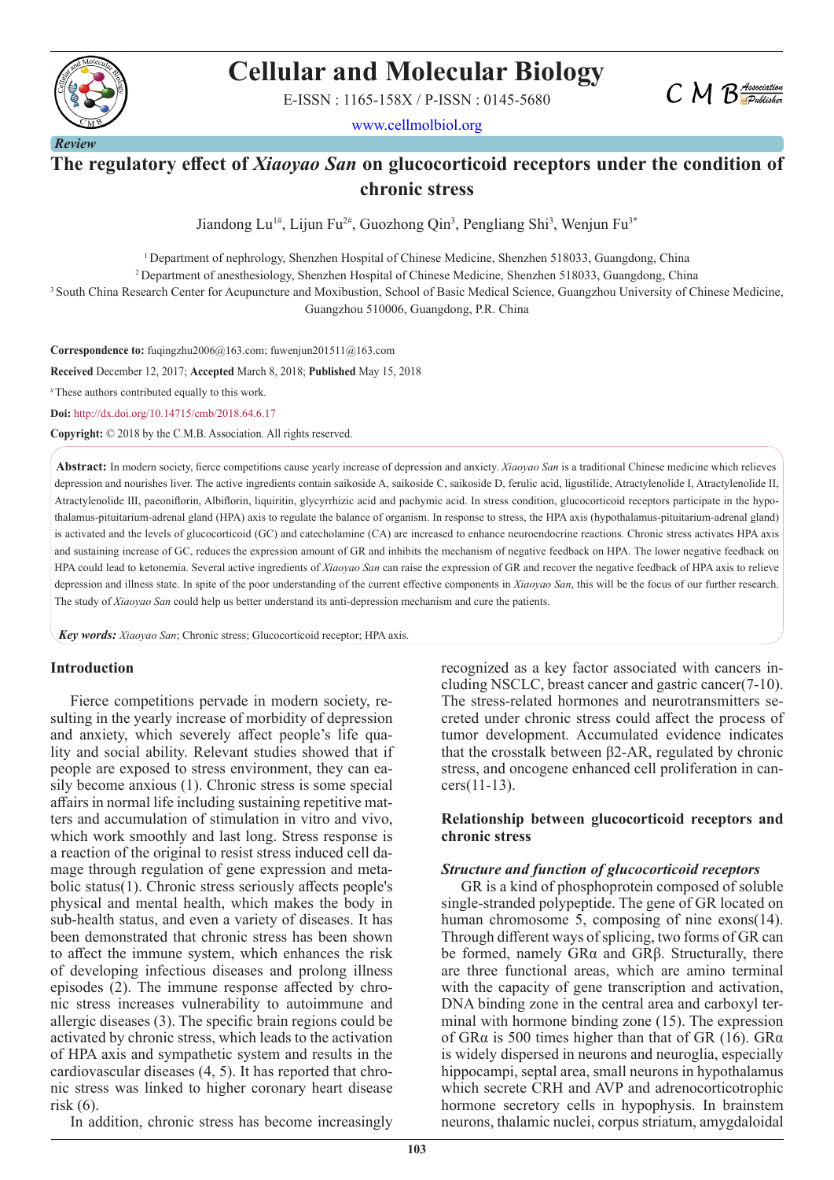

# **Cellular and Molecular Biology**

E-ISSN : 1165-158X / P-ISSN : 0145-5680

www.cellmolbiol.org



Jiandong Lu<sup>1#</sup>, Lijun Fu<sup>2#</sup>, Guozhong Qin<sup>3</sup>, Pengliang Shi<sup>3</sup>, Wenjun Fu<sup>3\*</sup>

1 Department of nephrology, Shenzhen Hospital of Chinese Medicine, Shenzhen 518033, Guangdong, China

2 Department of anesthesiology, Shenzhen Hospital of Chinese Medicine, Shenzhen 518033, Guangdong, China

3 South China Research Center for Acupuncture and Moxibustion, School of Basic Medical Science, Guangzhou University of Chinese Medicine, Guangzhou 510006, Guangdong, P.R. China

**Correspondence to:** fuqingzhu2006@163.com; fuwenjun201511@163.com **Received** December 12, 2017; **Accepted** March 8, 2018; **Published** May 15, 2018 # These authors contributed equally to this work. **Doi:** http://dx.doi.org/10.14715/cmb/2018.64.6.17

**Copyright:** © 2018 by the C.M.B. Association. All rights reserved.

**Abstract:** In modern society, fierce competitions cause yearly increase of depression and anxiety. *Xiaoyao San* is a traditional Chinese medicine which relieves depression and nourishes liver. The active ingredients contain saikoside A, saikoside C, saikoside D, ferulic acid, ligustilide, Atractylenolide I, Atractylenolide II, Atractylenolide Ⅲ, paeoniflorin, Albiflorin, liquiritin, glycyrrhizic acid and pachymic acid. In stress condition, glucocorticoid receptors participate in the hypothalamus-pituitarium-adrenal gland (HPA) axis to regulate the balance of organism. In response to stress, the HPA axis (hypothalamus-pituitarium-adrenal gland) is activated and the levels of glucocorticoid (GC) and catecholamine (CA) are increased to enhance neuroendocrine reactions. Chronic stress activates HPA axis and sustaining increase of GC, reduces the expression amount of GR and inhibits the mechanism of negative feedback on HPA. The lower negative feedback on HPA could lead to ketonemia. Several active ingredients of *Xiaoyao San* can raise the expression of GR and recover the negative feedback of HPA axis to relieve depression and illness state. In spite of the poor understanding of the current effective components in *Xiaoyao San*, this will be the focus of our further research. The study of *Xiaoyao San* could help us better understand its anti-depression mechanism and cure the patients.

*Key words: Xiaoyao San*; Chronic stress; Glucocorticoid receptor; HPA axis.

#### **Introduction**

Fierce competitions pervade in modern society, resulting in the yearly increase of morbidity of depression and anxiety, which severely affect people's life quality and social ability. Relevant studies showed that if people are exposed to stress environment, they can easily become anxious (1). Chronic stress is some special affairs in normal life including sustaining repetitive matters and accumulation of stimulation in vitro and vivo, which work smoothly and last long. Stress response is a reaction of the original to resist stress induced cell damage through regulation of gene expression and metabolic status(1). Chronic stress seriously affects people's physical and mental health, which makes the body in sub-health status, and even a variety of diseases. It has been demonstrated that chronic stress has been shown to affect the immune system, which enhances the risk of developing infectious diseases and prolong illness episodes (2). The immune response affected by chronic stress increases vulnerability to autoimmune and allergic diseases (3). The specific brain regions could be activated by chronic stress, which leads to the activation of HPA axis and sympathetic system and results in the cardiovascular diseases (4, 5). It has reported that chronic stress was linked to higher coronary heart disease risk (6).

In addition, chronic stress has become increasingly

recognized as a key factor associated with cancers including NSCLC, breast cancer and gastric cancer(7-10). The stress-related hormones and neurotransmitters secreted under chronic stress could affect the process of tumor development. Accumulated evidence indicates that the crosstalk between β2-AR, regulated by chronic stress, and oncogene enhanced cell proliferation in cancers(11-13).

 $CMB$  *Association* 

#### **Relationship between glucocorticoid receptors and chronic stress**

#### *Structure and function of glucocorticoid receptors*

GR is a kind of phosphoprotein composed of soluble single-stranded polypeptide. The gene of GR located on human chromosome 5, composing of nine exons(14). Through different ways of splicing, two forms of GR can be formed, namely GRα and GRβ. Structurally, there are three functional areas, which are amino terminal with the capacity of gene transcription and activation, DNA binding zone in the central area and carboxyl terminal with hormone binding zone (15). The expression of GR $\alpha$  is 500 times higher than that of GR (16). GR $\alpha$ is widely dispersed in neurons and neuroglia, especially hippocampi, septal area, small neurons in hypothalamus which secrete CRH and AVP and adrenocorticotrophic hormone secretory cells in hypophysis. In brainstem neurons, thalamic nuclei, corpus striatum, amygdaloidal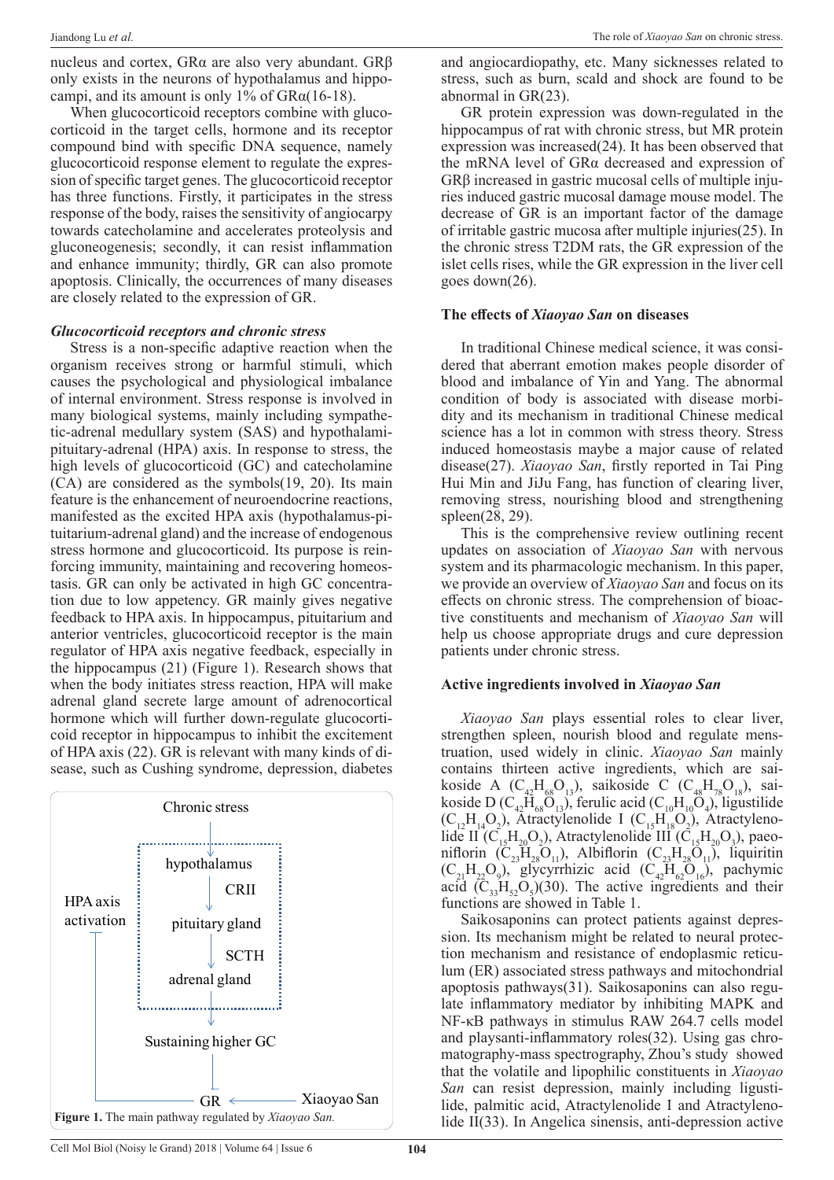nucleus and cortex, GRα are also very abundant. GRβ only exists in the neurons of hypothalamus and hippocampi, and its amount is only 1% of  $GRa(16-18)$ .

When glucocorticoid receptors combine with glucocorticoid in the target cells, hormone and its receptor compound bind with specific DNA sequence, namely glucocorticoid response element to regulate the expression of specific target genes. The glucocorticoid receptor has three functions. Firstly, it participates in the stress response of the body, raises the sensitivity of angiocarpy towards catecholamine and accelerates proteolysis and gluconeogenesis; secondly, it can resist inflammation and enhance immunity; thirdly, GR can also promote apoptosis. Clinically, the occurrences of many diseases are closely related to the expression of GR.

#### *Glucocorticoid receptors and chronic stress*

Stress is a non-specific adaptive reaction when the organism receives strong or harmful stimuli, which causes the psychological and physiological imbalance of internal environment. Stress response is involved in many biological systems, mainly including sympathetic-adrenal medullary system (SAS) and hypothalamipituitary-adrenal (HPA) axis. In response to stress, the high levels of glucocorticoid (GC) and catecholamine (CA) are considered as the symbols(19, 20). Its main feature is the enhancement of neuroendocrine reactions, manifested as the excited HPA axis (hypothalamus-pituitarium-adrenal gland) and the increase of endogenous stress hormone and glucocorticoid. Its purpose is reinforcing immunity, maintaining and recovering homeostasis. GR can only be activated in high GC concentration due to low appetency. GR mainly gives negative feedback to HPA axis. In hippocampus, pituitarium and anterior ventricles, glucocorticoid receptor is the main regulator of HPA axis negative feedback, especially in the hippocampus (21) (Figure 1). Research shows that when the body initiates stress reaction, HPA will make adrenal gland secrete large amount of adrenocortical hormone which will further down-regulate glucocorticoid receptor in hippocampus to inhibit the excitement of HPA axis (22). GR is relevant with many kinds of disease, such as Cushing syndrome, depression, diabetes



and angiocardiopathy, etc. Many sicknesses related to stress, such as burn, scald and shock are found to be abnormal in GR(23).

GR protein expression was down-regulated in the hippocampus of rat with chronic stress, but MR protein expression was increased(24). It has been observed that the mRNA level of GRα decreased and expression of GRβ increased in gastric mucosal cells of multiple injuries induced gastric mucosal damage mouse model. The decrease of GR is an important factor of the damage of irritable gastric mucosa after multiple injuries(25). In the chronic stress T2DM rats, the GR expression of the islet cells rises, while the GR expression in the liver cell goes down(26).

#### **The effects of** *Xiaoyao San* **on diseases**

In traditional Chinese medical science, it was considered that aberrant emotion makes people disorder of blood and imbalance of Yin and Yang. The abnormal condition of body is associated with disease morbidity and its mechanism in traditional Chinese medical science has a lot in common with stress theory. Stress induced homeostasis maybe a major cause of related disease(27). *Xiaoyao San*, firstly reported in Tai Ping Hui Min and JiJu Fang, has function of clearing liver, removing stress, nourishing blood and strengthening spleen(28, 29).

This is the comprehensive review outlining recent updates on association of *Xiaoyao San* with nervous system and its pharmacologic mechanism. In this paper, we provide an overview of *Xiaoyao San* and focus on its effects on chronic stress. The comprehension of bioactive constituents and mechanism of *Xiaoyao San* will help us choose appropriate drugs and cure depression patients under chronic stress.

## **Active ingredients involved in** *Xiaoyao San*

*Xiaoyao San* plays essential roles to clear liver, strengthen spleen, nourish blood and regulate menstruation, used widely in clinic. *Xiaoyao San* mainly contains thirteen active ingredients, which are saikoside A (C<sub>42</sub>H<sub>68</sub>O<sub>13</sub>), saikoside C (C<sub>48</sub>H<sub>78</sub>O<sub>18</sub>), saikoside D ( $C_{42}H_{68}O_{13}$ ), ferulic acid ( $C_{10}H_{10}O_4$ ), ligustilide  $(C_{12}H_{14}O_2)$ , Atractylenolide I  $(C_{15}H_{18}O_2)$ , Atractylenolide II (C<sub>15</sub>H<sub>20</sub>O<sub>2</sub>), Atractylenolide III (C<sub>15</sub>H<sub>20</sub>O<sub>3</sub>), paeoniflorin  $(C_{23}H_{28}O_{11})$ , Albiflorin  $(C_{23}H_{28}O_{11})$ , liquiritin  $(C_{21}H_{22}O_9)$ , glycyrrhizic acid  $(C_{42}H_{62}O_{16})$ , pachymic acid  $(C_{33}H_{52}O_5)(30)$ . The active ingredients and their functions are showed in Table 1.

Saikosaponins can protect patients against depression. Its mechanism might be related to neural protection mechanism and resistance of endoplasmic reticulum (ER) associated stress pathways and mitochondrial apoptosis pathways(31). Saikosaponins can also regulate inflammatory mediator by inhibiting MAPK and NF-κB pathways in stimulus RAW 264.7 cells model and playsanti-inflammatory roles(32). Using gas chromatography-mass spectrography, Zhou's study showed that the volatile and lipophilic constituents in *Xiaoyao San* can resist depression, mainly including ligustilide, palmitic acid, Atractylenolide I and Atractyleno-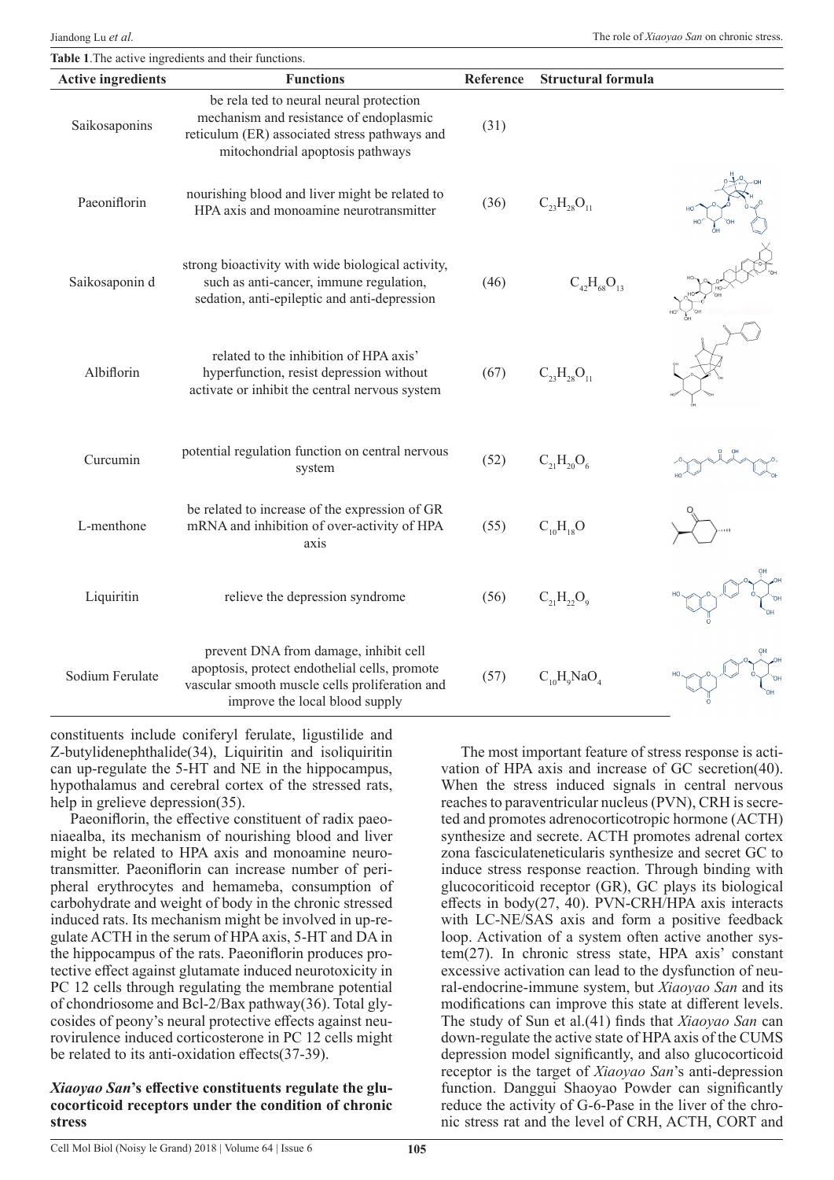| <b>Active ingredients</b> | <b>Functions</b>                                                                                                                                                           | Reference | <b>Structural formula</b> |  |
|---------------------------|----------------------------------------------------------------------------------------------------------------------------------------------------------------------------|-----------|---------------------------|--|
| Saikosaponins             | be rela ted to neural neural protection<br>mechanism and resistance of endoplasmic<br>reticulum (ER) associated stress pathways and<br>mitochondrial apoptosis pathways    | (31)      |                           |  |
| Paeoniflorin              | nourishing blood and liver might be related to<br>HPA axis and monoamine neurotransmitter                                                                                  | (36)      | $C_{23}H_{28}O_{11}$      |  |
| Saikosaponin d            | strong bioactivity with wide biological activity,<br>such as anti-cancer, immune regulation,<br>sedation, anti-epileptic and anti-depression                               | (46)      | $C_{42}H_{68}O_{13}$      |  |
| Albiflorin                | related to the inhibition of HPA axis'<br>hyperfunction, resist depression without<br>activate or inhibit the central nervous system                                       | (67)      | $C_{23}H_{28}O_{11}$      |  |
| Curcumin                  | potential regulation function on central nervous<br>system                                                                                                                 | (52)      | $C_{21}H_{20}O_6$         |  |
| L-menthone                | be related to increase of the expression of GR<br>mRNA and inhibition of over-activity of HPA<br>axis                                                                      | (55)      | $C_{10}H_{18}O$           |  |
| Liquiritin                | relieve the depression syndrome                                                                                                                                            | (56)      | $C_{21}H_{22}O_9$         |  |
| Sodium Ferulate           | prevent DNA from damage, inhibit cell<br>apoptosis, protect endothelial cells, promote<br>vascular smooth muscle cells proliferation and<br>improve the local blood supply | (57)      | $C_{10}H_0NaO_4$          |  |

constituents include coniferyl ferulate, ligustilide and Z-butylidenephthalide(34), Liquiritin and isoliquiritin can up-regulate the 5-HT and NE in the hippocampus, hypothalamus and cerebral cortex of the stressed rats, help in grelieve depression(35).

Paeoniflorin, the effective constituent of radix paeoniaealba, its mechanism of nourishing blood and liver might be related to HPA axis and monoamine neurotransmitter. Paeoniflorin can increase number of peripheral erythrocytes and hemameba, consumption of carbohydrate and weight of body in the chronic stressed induced rats. Its mechanism might be involved in up-regulate ACTH in the serum of HPA axis, 5-HT and DA in the hippocampus of the rats. Paeoniflorin produces protective effect against glutamate induced neurotoxicity in PC 12 cells through regulating the membrane potential of chondriosome and Bcl-2/Bax pathway(36). Total glycosides of peony's neural protective effects against neurovirulence induced corticosterone in PC 12 cells might be related to its anti-oxidation effects(37-39).

#### *Xiaoyao San***'s effective constituents regulate the glucocorticoid receptors under the condition of chronic stress**

The most important feature of stress response is activation of HPA axis and increase of GC secretion(40). When the stress induced signals in central nervous reaches to paraventricular nucleus (PVN), CRH is secreted and promotes adrenocorticotropic hormone (ACTH) synthesize and secrete. ACTH promotes adrenal cortex zona fasciculateneticularis synthesize and secret GC to induce stress response reaction. Through binding with glucocoriticoid receptor (GR), GC plays its biological effects in body(27, 40). PVN-CRH/HPA axis interacts with LC-NE/SAS axis and form a positive feedback loop. Activation of a system often active another system(27). In chronic stress state, HPA axis' constant excessive activation can lead to the dysfunction of neural-endocrine-immune system, but *Xiaoyao San* and its modifications can improve this state at different levels. The study of Sun et al.(41) finds that *Xiaoyao San* can down-regulate the active state of HPA axis of the CUMS depression model significantly, and also glucocorticoid receptor is the target of *Xiaoyao San*'s anti-depression function. Danggui Shaoyao Powder can significantly reduce the activity of G-6-Pase in the liver of the chronic stress rat and the level of CRH, ACTH, CORT and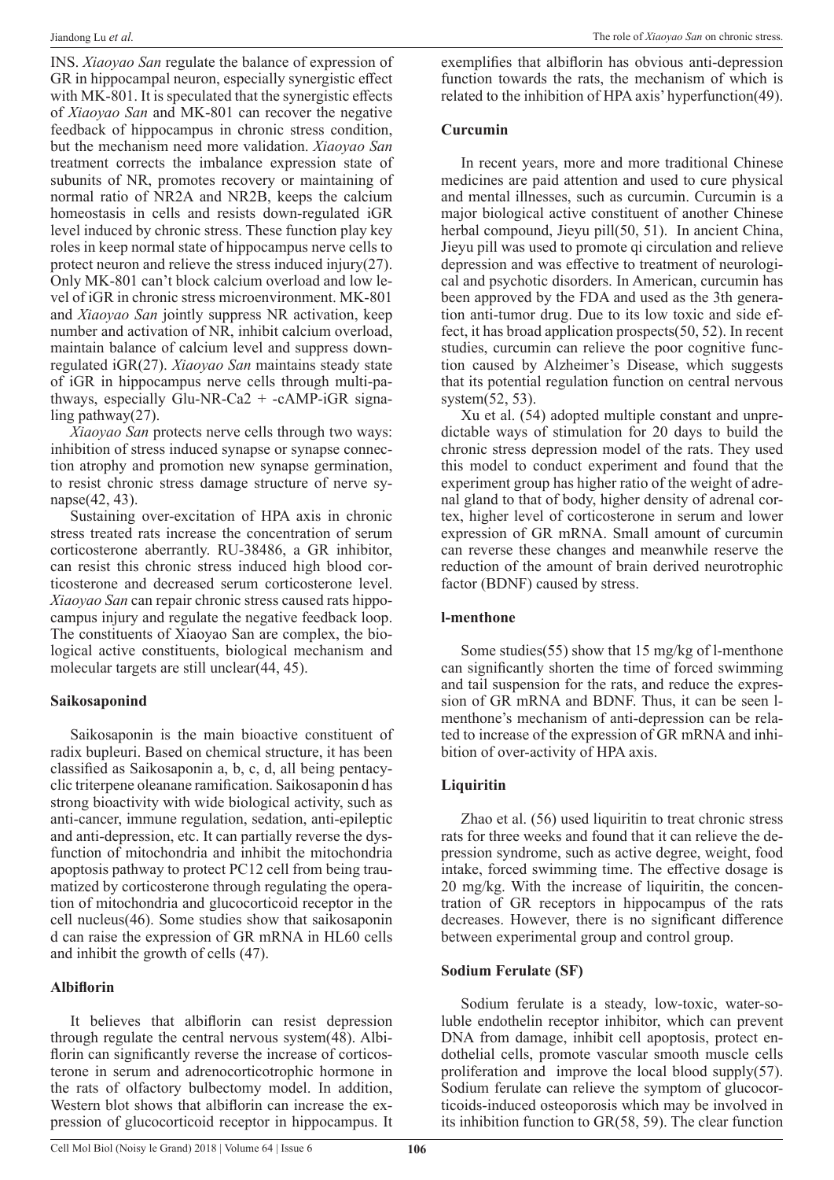INS. *Xiaoyao San* regulate the balance of expression of GR in hippocampal neuron, especially synergistic effect with MK-801. It is speculated that the synergistic effects of *Xiaoyao San* and MK-801 can recover the negative feedback of hippocampus in chronic stress condition, but the mechanism need more validation. *Xiaoyao San* treatment corrects the imbalance expression state of subunits of NR, promotes recovery or maintaining of normal ratio of NR2A and NR2B, keeps the calcium homeostasis in cells and resists down-regulated iGR level induced by chronic stress. These function play key roles in keep normal state of hippocampus nerve cells to protect neuron and relieve the stress induced injury(27). Only MK-801 can't block calcium overload and low level of iGR in chronic stress microenvironment. MK-801 and *Xiaoyao San* jointly suppress NR activation, keep number and activation of NR, inhibit calcium overload, maintain balance of calcium level and suppress downregulated iGR(27). *Xiaoyao San* maintains steady state of iGR in hippocampus nerve cells through multi-pathways, especially Glu-NR-Ca2 + -cAMP-iGR signaling pathway(27).

*Xiaoyao San* protects nerve cells through two ways: inhibition of stress induced synapse or synapse connection atrophy and promotion new synapse germination, to resist chronic stress damage structure of nerve synapse(42, 43).

Sustaining over-excitation of HPA axis in chronic stress treated rats increase the concentration of serum corticosterone aberrantly. RU-38486, a GR inhibitor, can resist this chronic stress induced high blood corticosterone and decreased serum corticosterone level. *Xiaoyao San* can repair chronic stress caused rats hippocampus injury and regulate the negative feedback loop. The constituents of Xiaoyao San are complex, the biological active constituents, biological mechanism and molecular targets are still unclear(44, 45).

# **Saikosaponind**

Saikosaponin is the main bioactive constituent of radix bupleuri. Based on chemical structure, it has been classified as Saikosaponin a, b, c, d, all being pentacyclic triterpene oleanane ramification. Saikosaponin d has strong bioactivity with wide biological activity, such as anti-cancer, immune regulation, sedation, anti-epileptic and anti-depression, etc. It can partially reverse the dysfunction of mitochondria and inhibit the mitochondria apoptosis pathway to protect PC12 cell from being traumatized by corticosterone through regulating the operation of mitochondria and glucocorticoid receptor in the cell nucleus(46). Some studies show that saikosaponin d can raise the expression of GR mRNA in HL60 cells and inhibit the growth of cells (47).

## **Albiflorin**

It believes that albiflorin can resist depression through regulate the central nervous system(48). Albiflorin can significantly reverse the increase of corticosterone in serum and adrenocorticotrophic hormone in the rats of olfactory bulbectomy model. In addition, Western blot shows that albiflorin can increase the expression of glucocorticoid receptor in hippocampus. It

exemplifies that albiflorin has obvious anti-depression function towards the rats, the mechanism of which is related to the inhibition of HPA axis' hyperfunction(49).

#### **Curcumin**

In recent years, more and more traditional Chinese medicines are paid attention and used to cure physical and mental illnesses, such as curcumin. Curcumin is a major biological active constituent of another Chinese herbal compound, Jieyu pill(50, 51). In ancient China, Jieyu pill was used to promote qi circulation and relieve depression and was effective to treatment of neurological and psychotic disorders. In American, curcumin has been approved by the FDA and used as the 3th generation anti-tumor drug. Due to its low toxic and side effect, it has broad application prospects(50, 52). In recent studies, curcumin can relieve the poor cognitive function caused by Alzheimer's Disease, which suggests that its potential regulation function on central nervous system(52, 53).

Xu et al. (54) adopted multiple constant and unpredictable ways of stimulation for 20 days to build the chronic stress depression model of the rats. They used this model to conduct experiment and found that the experiment group has higher ratio of the weight of adrenal gland to that of body, higher density of adrenal cortex, higher level of corticosterone in serum and lower expression of GR mRNA. Small amount of curcumin can reverse these changes and meanwhile reserve the reduction of the amount of brain derived neurotrophic factor (BDNF) caused by stress.

## **l-menthone**

Some studies(55) show that 15 mg/kg of l-menthone can significantly shorten the time of forced swimming and tail suspension for the rats, and reduce the expression of GR mRNA and BDNF. Thus, it can be seen lmenthone's mechanism of anti-depression can be related to increase of the expression of GR mRNA and inhibition of over-activity of HPA axis.

# **Liquiritin**

Zhao et al. (56) used liquiritin to treat chronic stress rats for three weeks and found that it can relieve the depression syndrome, such as active degree, weight, food intake, forced swimming time. The effective dosage is 20 mg/kg. With the increase of liquiritin, the concentration of GR receptors in hippocampus of the rats decreases. However, there is no significant difference between experimental group and control group.

## **Sodium Ferulate (SF)**

Sodium ferulate is a steady, low-toxic, water-soluble endothelin receptor inhibitor, which can prevent DNA from damage, inhibit cell apoptosis, protect endothelial cells, promote vascular smooth muscle cells proliferation and improve the local blood supply(57). Sodium ferulate can relieve the symptom of glucocorticoids-induced osteoporosis which may be involved in its inhibition function to GR(58, 59). The clear function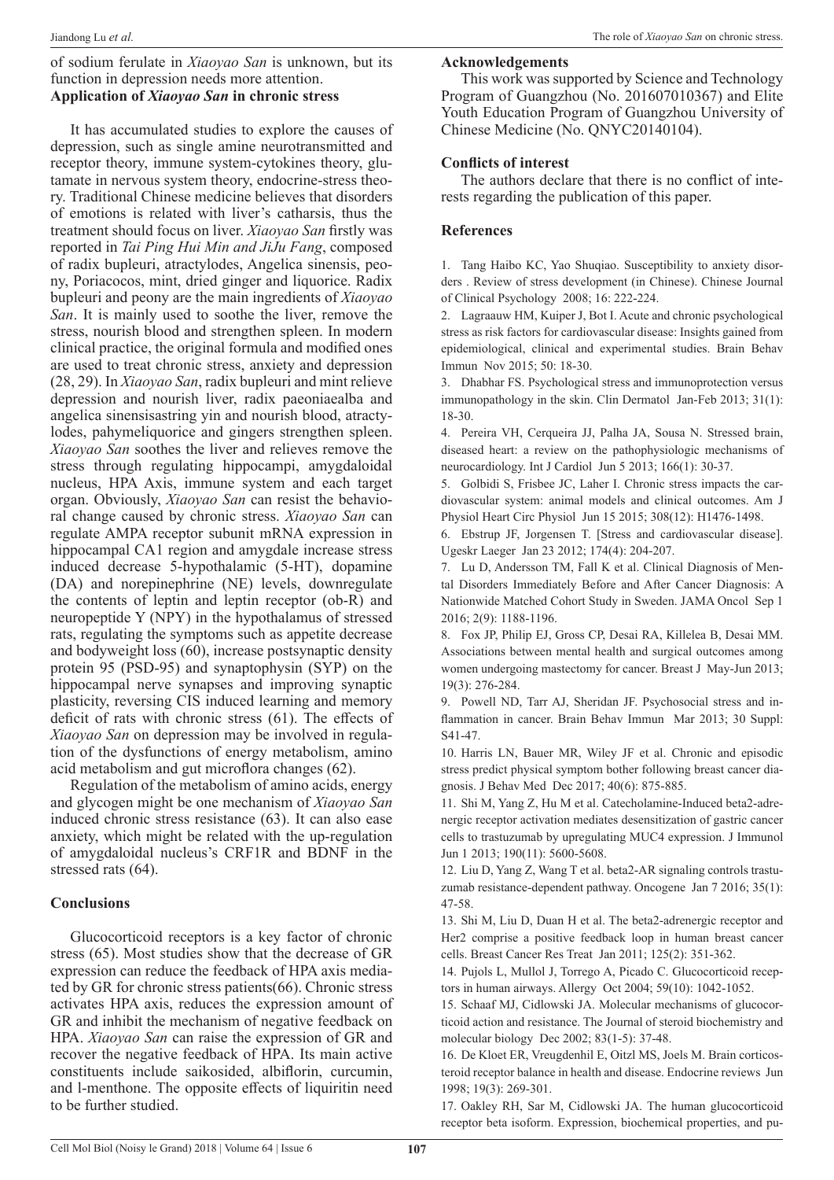#### of sodium ferulate in *Xiaoyao San* is unknown, but its function in depression needs more attention. **Application of** *Xiaoyao San* **in chronic stress**

It has accumulated studies to explore the causes of depression, such as single amine neurotransmitted and receptor theory, immune system-cytokines theory, glutamate in nervous system theory, endocrine-stress theory. Traditional Chinese medicine believes that disorders of emotions is related with liver's catharsis, thus the treatment should focus on liver. *Xiaoyao San* firstly was reported in *Tai Ping Hui Min and JiJu Fang*, composed of radix bupleuri, atractylodes, Angelica sinensis, peony, Poriacocos, mint, dried ginger and liquorice. Radix bupleuri and peony are the main ingredients of *Xiaoyao San*. It is mainly used to soothe the liver, remove the stress, nourish blood and strengthen spleen. In modern clinical practice, the original formula and modified ones are used to treat chronic stress, anxiety and depression (28, 29). In *Xiaoyao San*, radix bupleuri and mint relieve depression and nourish liver, radix paeoniaealba and angelica sinensisastring yin and nourish blood, atractylodes, pahymeliquorice and gingers strengthen spleen. *Xiaoyao San* soothes the liver and relieves remove the stress through regulating hippocampi, amygdaloidal nucleus, HPA Axis, immune system and each target organ. Obviously, *Xiaoyao San* can resist the behavioral change caused by chronic stress. *Xiaoyao San* can regulate AMPA receptor subunit mRNA expression in hippocampal CA1 region and amygdale increase stress induced decrease 5-hypothalamic (5-HT), dopamine (DA) and norepinephrine (NE) levels, downregulate the contents of leptin and leptin receptor (ob-R) and neuropeptide Y (NPY) in the hypothalamus of stressed rats, regulating the symptoms such as appetite decrease and bodyweight loss (60), increase postsynaptic density protein 95 (PSD-95) and synaptophysin (SYP) on the hippocampal nerve synapses and improving synaptic plasticity, reversing CIS induced learning and memory deficit of rats with chronic stress (61). The effects of *Xiaoyao San* on depression may be involved in regulation of the dysfunctions of energy metabolism, amino acid metabolism and gut microflora changes (62).

Regulation of the metabolism of amino acids, energy and glycogen might be one mechanism of *Xiaoyao San* induced chronic stress resistance (63). It can also ease anxiety, which might be related with the up-regulation of amygdaloidal nucleus's CRF1R and BDNF in the stressed rats (64).

#### **Conclusions**

Glucocorticoid receptors is a key factor of chronic stress (65). Most studies show that the decrease of GR expression can reduce the feedback of HPA axis mediated by GR for chronic stress patients(66). Chronic stress activates HPA axis, reduces the expression amount of GR and inhibit the mechanism of negative feedback on HPA. *Xiaoyao San* can raise the expression of GR and recover the negative feedback of HPA. Its main active constituents include saikosided, albiflorin, curcumin, and l-menthone. The opposite effects of liquiritin need to be further studied.

# **Acknowledgements**

This work was supported by Science and Technology Program of Guangzhou (No. 201607010367) and Elite Youth Education Program of Guangzhou University of Chinese Medicine (No. QNYC20140104).

#### **Conflicts of interest**

The authors declare that there is no conflict of interests regarding the publication of this paper.

## **References**

1. Tang Haibo KC, Yao Shuqiao. Susceptibility to anxiety disorders . Review of stress development (in Chinese). Chinese Journal of Clinical Psychology 2008; 16: 222-224.

2. Lagraauw HM, Kuiper J, Bot I. Acute and chronic psychological stress as risk factors for cardiovascular disease: Insights gained from epidemiological, clinical and experimental studies. Brain Behav Immun Nov 2015; 50: 18-30.

3. Dhabhar FS. Psychological stress and immunoprotection versus immunopathology in the skin. Clin Dermatol Jan-Feb 2013; 31(1): 18-30.

4. Pereira VH, Cerqueira JJ, Palha JA, Sousa N. Stressed brain, diseased heart: a review on the pathophysiologic mechanisms of neurocardiology. Int J Cardiol Jun 5 2013; 166(1): 30-37.

5. Golbidi S, Frisbee JC, Laher I. Chronic stress impacts the cardiovascular system: animal models and clinical outcomes. Am J Physiol Heart Circ Physiol Jun 15 2015; 308(12): H1476-1498.

6. Ebstrup JF, Jorgensen T. [Stress and cardiovascular disease]. Ugeskr Laeger Jan 23 2012; 174(4): 204-207.

7. Lu D, Andersson TM, Fall K et al. Clinical Diagnosis of Mental Disorders Immediately Before and After Cancer Diagnosis: A Nationwide Matched Cohort Study in Sweden. JAMA Oncol Sep 1 2016; 2(9): 1188-1196.

8. Fox JP, Philip EJ, Gross CP, Desai RA, Killelea B, Desai MM. Associations between mental health and surgical outcomes among women undergoing mastectomy for cancer. Breast J May-Jun 2013; 19(3): 276-284.

9. Powell ND, Tarr AJ, Sheridan JF. Psychosocial stress and inflammation in cancer. Brain Behav Immun Mar 2013; 30 Suppl: S41-47.

10. Harris LN, Bauer MR, Wiley JF et al. Chronic and episodic stress predict physical symptom bother following breast cancer diagnosis. J Behav Med Dec 2017; 40(6): 875-885.

11. Shi M, Yang Z, Hu M et al. Catecholamine-Induced beta2-adrenergic receptor activation mediates desensitization of gastric cancer cells to trastuzumab by upregulating MUC4 expression. J Immunol Jun 1 2013; 190(11): 5600-5608.

12. Liu D, Yang Z, Wang T et al. beta2-AR signaling controls trastuzumab resistance-dependent pathway. Oncogene Jan 7 2016; 35(1): 47-58.

13. Shi M, Liu D, Duan H et al. The beta2-adrenergic receptor and Her2 comprise a positive feedback loop in human breast cancer cells. Breast Cancer Res Treat Jan 2011; 125(2): 351-362.

14. Pujols L, Mullol J, Torrego A, Picado C. Glucocorticoid receptors in human airways. Allergy Oct 2004; 59(10): 1042-1052.

15. Schaaf MJ, Cidlowski JA. Molecular mechanisms of glucocorticoid action and resistance. The Journal of steroid biochemistry and molecular biology Dec 2002; 83(1-5): 37-48.

16. De Kloet ER, Vreugdenhil E, Oitzl MS, Joels M. Brain corticosteroid receptor balance in health and disease. Endocrine reviews Jun 1998; 19(3): 269-301.

17. Oakley RH, Sar M, Cidlowski JA. The human glucocorticoid receptor beta isoform. Expression, biochemical properties, and pu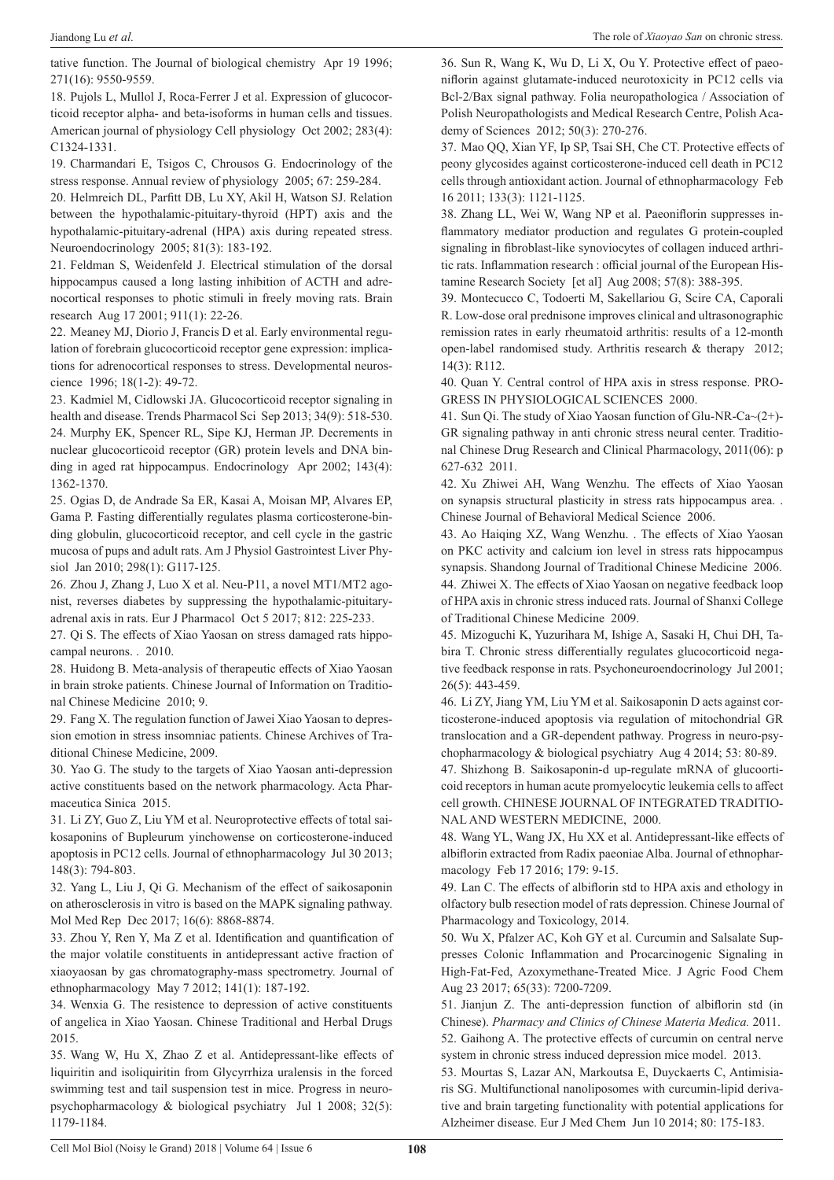tative function. The Journal of biological chemistry Apr 19 1996; 271(16): 9550-9559.

18. Pujols L, Mullol J, Roca-Ferrer J et al. Expression of glucocorticoid receptor alpha- and beta-isoforms in human cells and tissues. American journal of physiology Cell physiology Oct 2002; 283(4): C1324-1331.

19. Charmandari E, Tsigos C, Chrousos G. Endocrinology of the stress response. Annual review of physiology 2005; 67: 259-284.

20. Helmreich DL, Parfitt DB, Lu XY, Akil H, Watson SJ. Relation between the hypothalamic-pituitary-thyroid (HPT) axis and the hypothalamic-pituitary-adrenal (HPA) axis during repeated stress. Neuroendocrinology 2005; 81(3): 183-192.

21. Feldman S, Weidenfeld J. Electrical stimulation of the dorsal hippocampus caused a long lasting inhibition of ACTH and adrenocortical responses to photic stimuli in freely moving rats. Brain research Aug 17 2001; 911(1): 22-26.

22. Meaney MJ, Diorio J, Francis D et al. Early environmental regulation of forebrain glucocorticoid receptor gene expression: implications for adrenocortical responses to stress. Developmental neuroscience 1996; 18(1-2): 49-72.

23. Kadmiel M, Cidlowski JA. Glucocorticoid receptor signaling in health and disease. Trends Pharmacol Sci Sep 2013; 34(9): 518-530. 24. Murphy EK, Spencer RL, Sipe KJ, Herman JP. Decrements in nuclear glucocorticoid receptor (GR) protein levels and DNA binding in aged rat hippocampus. Endocrinology Apr 2002; 143(4): 1362-1370.

25. Ogias D, de Andrade Sa ER, Kasai A, Moisan MP, Alvares EP, Gama P. Fasting differentially regulates plasma corticosterone-binding globulin, glucocorticoid receptor, and cell cycle in the gastric mucosa of pups and adult rats. Am J Physiol Gastrointest Liver Physiol Jan 2010; 298(1): G117-125.

26. Zhou J, Zhang J, Luo X et al. Neu-P11, a novel MT1/MT2 agonist, reverses diabetes by suppressing the hypothalamic-pituitaryadrenal axis in rats. Eur J Pharmacol Oct 5 2017; 812: 225-233.

27. Qi S. The effects of Xiao Yaosan on stress damaged rats hippocampal neurons. . 2010.

28. Huidong B. Meta-analysis of therapeutic effects of Xiao Yaosan in brain stroke patients. Chinese Journal of Information on Traditional Chinese Medicine 2010; 9.

29. Fang X. The regulation function of Jawei Xiao Yaosan to depression emotion in stress insomniac patients. Chinese Archives of Traditional Chinese Medicine, 2009.

30. Yao G. The study to the targets of Xiao Yaosan anti-depression active constituents based on the network pharmacology. Acta Pharmaceutica Sinica 2015.

31. Li ZY, Guo Z, Liu YM et al. Neuroprotective effects of total saikosaponins of Bupleurum yinchowense on corticosterone-induced apoptosis in PC12 cells. Journal of ethnopharmacology Jul 30 2013; 148(3): 794-803.

32. Yang L, Liu J, Qi G. Mechanism of the effect of saikosaponin on atherosclerosis in vitro is based on the MAPK signaling pathway. Mol Med Rep Dec 2017; 16(6): 8868-8874.

33. Zhou Y, Ren Y, Ma Z et al. Identification and quantification of the major volatile constituents in antidepressant active fraction of xiaoyaosan by gas chromatography-mass spectrometry. Journal of ethnopharmacology May 7 2012; 141(1): 187-192.

34. Wenxia G. The resistence to depression of active constituents of angelica in Xiao Yaosan. Chinese Traditional and Herbal Drugs 2015.

35. Wang W, Hu X, Zhao Z et al. Antidepressant-like effects of liquiritin and isoliquiritin from Glycyrrhiza uralensis in the forced swimming test and tail suspension test in mice. Progress in neuropsychopharmacology & biological psychiatry Jul 1 2008; 32(5): 1179-1184.

36. Sun R, Wang K, Wu D, Li X, Ou Y. Protective effect of paeoniflorin against glutamate-induced neurotoxicity in PC12 cells via Bcl-2/Bax signal pathway. Folia neuropathologica / Association of Polish Neuropathologists and Medical Research Centre, Polish Academy of Sciences 2012; 50(3): 270-276.

37. Mao QQ, Xian YF, Ip SP, Tsai SH, Che CT. Protective effects of peony glycosides against corticosterone-induced cell death in PC12 cells through antioxidant action. Journal of ethnopharmacology Feb 16 2011; 133(3): 1121-1125.

38. Zhang LL, Wei W, Wang NP et al. Paeoniflorin suppresses inflammatory mediator production and regulates G protein-coupled signaling in fibroblast-like synoviocytes of collagen induced arthritic rats. Inflammation research : official journal of the European Histamine Research Society [et al] Aug 2008; 57(8): 388-395.

39. Montecucco C, Todoerti M, Sakellariou G, Scire CA, Caporali R. Low-dose oral prednisone improves clinical and ultrasonographic remission rates in early rheumatoid arthritis: results of a 12-month open-label randomised study. Arthritis research & therapy 2012; 14(3): R112.

40. Quan Y. Central control of HPA axis in stress response. PRO-GRESS IN PHYSIOLOGICAL SCIENCES 2000.

41. Sun Qi. The study of Xiao Yaosan function of Glu-NR-Ca~(2+)- GR signaling pathway in anti chronic stress neural center. Traditional Chinese Drug Research and Clinical Pharmacology, 2011(06): p 627-632 2011.

42. Xu Zhiwei AH, Wang Wenzhu. The effects of Xiao Yaosan on synapsis structural plasticity in stress rats hippocampus area. . Chinese Journal of Behavioral Medical Science 2006.

43. Ao Haiqing XZ, Wang Wenzhu. . The effects of Xiao Yaosan on PKC activity and calcium ion level in stress rats hippocampus synapsis. Shandong Journal of Traditional Chinese Medicine 2006. 44. Zhiwei X. The effects of Xiao Yaosan on negative feedback loop of HPA axis in chronic stress induced rats. Journal of Shanxi College of Traditional Chinese Medicine 2009.

45. Mizoguchi K, Yuzurihara M, Ishige A, Sasaki H, Chui DH, Tabira T. Chronic stress differentially regulates glucocorticoid negative feedback response in rats. Psychoneuroendocrinology Jul 2001; 26(5): 443-459.

46. Li ZY, Jiang YM, Liu YM et al. Saikosaponin D acts against corticosterone-induced apoptosis via regulation of mitochondrial GR translocation and a GR-dependent pathway. Progress in neuro-psychopharmacology & biological psychiatry Aug 4 2014; 53: 80-89.

47. Shizhong B. Saikosaponin-d up-regulate mRNA of glucoorticoid receptors in human acute promyelocytic leukemia cells to affect cell growth. CHINESE JOURNAL OF INTEGRATED TRADITIO-NAL AND WESTERN MEDICINE, 2000.

48. Wang YL, Wang JX, Hu XX et al. Antidepressant-like effects of albiflorin extracted from Radix paeoniae Alba. Journal of ethnopharmacology Feb 17 2016; 179: 9-15.

49. Lan C. The effects of albiflorin std to HPA axis and ethology in olfactory bulb resection model of rats depression. Chinese Journal of Pharmacology and Toxicology, 2014.

50. Wu X, Pfalzer AC, Koh GY et al. Curcumin and Salsalate Suppresses Colonic Inflammation and Procarcinogenic Signaling in High-Fat-Fed, Azoxymethane-Treated Mice. J Agric Food Chem Aug 23 2017; 65(33): 7200-7209.

51. Jianjun Z. The anti-depression function of albiflorin std (in Chinese). *Pharmacy and Clinics of Chinese Materia Medica.* 2011. 52. Gaihong A. The protective effects of curcumin on central nerve system in chronic stress induced depression mice model. 2013.

53. Mourtas S, Lazar AN, Markoutsa E, Duyckaerts C, Antimisiaris SG. Multifunctional nanoliposomes with curcumin-lipid derivative and brain targeting functionality with potential applications for Alzheimer disease. Eur J Med Chem Jun 10 2014; 80: 175-183.